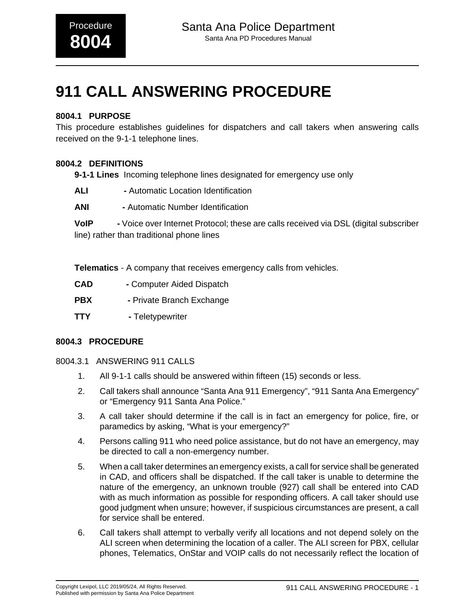# **911 CALL ANSWERING PROCEDURE**

# **8004.1 PURPOSE**

This procedure establishes guidelines for dispatchers and call takers when answering calls received on the 9-1-1 telephone lines.

## **8004.2 DEFINITIONS**

**9-1-1 Lines** Incoming telephone lines designated for emergency use only

- **ALI -** Automatic Location Identification
- **ANI** Automatic Number Identification

**VoIP -** Voice over Internet Protocol; these are calls received via DSL (digital subscriber line) rather than traditional phone lines

**Telematics** - A company that receives emergency calls from vehicles.

- **CAD** Computer Aided Dispatch
- **PBX** Private Branch Exchange
- **TTY** Teletypewriter

#### **8004.3 PROCEDURE**

- 8004.3.1 ANSWERING 911 CALLS
	- 1. All 9-1-1 calls should be answered within fifteen (15) seconds or less.
	- 2. Call takers shall announce "Santa Ana 911 Emergency", "911 Santa Ana Emergency" or "Emergency 911 Santa Ana Police."
	- 3. A call taker should determine if the call is in fact an emergency for police, fire, or paramedics by asking, "What is your emergency?"
	- 4. Persons calling 911 who need police assistance, but do not have an emergency, may be directed to call a non-emergency number.
	- 5. When a call taker determines an emergency exists, a call for service shall be generated in CAD, and officers shall be dispatched. If the call taker is unable to determine the nature of the emergency, an unknown trouble (927) call shall be entered into CAD with as much information as possible for responding officers. A call taker should use good judgment when unsure; however, if suspicious circumstances are present, a call for service shall be entered.
	- 6. Call takers shall attempt to verbally verify all locations and not depend solely on the ALI screen when determining the location of a caller. The ALI screen for PBX, cellular phones, Telematics, OnStar and VOIP calls do not necessarily reflect the location of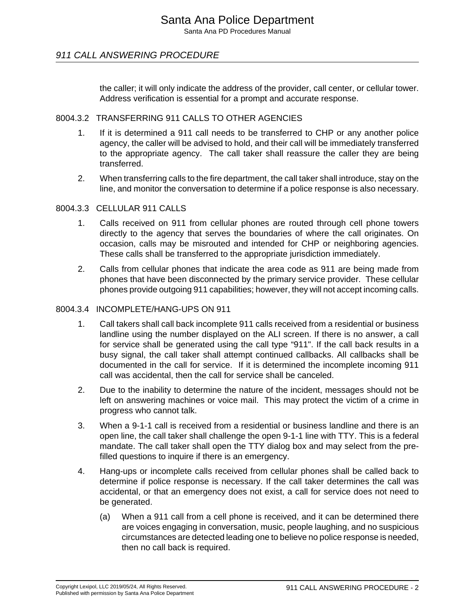Santa Ana PD Procedures Manual

# 911 CALL ANSWERING PROCEDURE

the caller; it will only indicate the address of the provider, call center, or cellular tower. Address verification is essential for a prompt and accurate response.

#### 8004.3.2 TRANSFERRING 911 CALLS TO OTHER AGENCIES

- 1. If it is determined a 911 call needs to be transferred to CHP or any another police agency, the caller will be advised to hold, and their call will be immediately transferred to the appropriate agency. The call taker shall reassure the caller they are being transferred.
- 2. When transferring calls to the fire department, the call taker shall introduce, stay on the line, and monitor the conversation to determine if a police response is also necessary.

#### 8004.3.3 CELLULAR 911 CALLS

- 1. Calls received on 911 from cellular phones are routed through cell phone towers directly to the agency that serves the boundaries of where the call originates. On occasion, calls may be misrouted and intended for CHP or neighboring agencies. These calls shall be transferred to the appropriate jurisdiction immediately.
- 2. Calls from cellular phones that indicate the area code as 911 are being made from phones that have been disconnected by the primary service provider. These cellular phones provide outgoing 911 capabilities; however, they will not accept incoming calls.

#### 8004.3.4 INCOMPLETE/HANG-UPS ON 911

- 1. Call takers shall call back incomplete 911 calls received from a residential or business landline using the number displayed on the ALI screen. If there is no answer, a call for service shall be generated using the call type "911". If the call back results in a busy signal, the call taker shall attempt continued callbacks. All callbacks shall be documented in the call for service. If it is determined the incomplete incoming 911 call was accidental, then the call for service shall be canceled.
- 2. Due to the inability to determine the nature of the incident, messages should not be left on answering machines or voice mail. This may protect the victim of a crime in progress who cannot talk.
- 3. When a 9-1-1 call is received from a residential or business landline and there is an open line, the call taker shall challenge the open 9-1-1 line with TTY. This is a federal mandate. The call taker shall open the TTY dialog box and may select from the prefilled questions to inquire if there is an emergency.
- 4. Hang-ups or incomplete calls received from cellular phones shall be called back to determine if police response is necessary. If the call taker determines the call was accidental, or that an emergency does not exist, a call for service does not need to be generated.
	- (a) When a 911 call from a cell phone is received, and it can be determined there are voices engaging in conversation, music, people laughing, and no suspicious circumstances are detected leading one to believe no police response is needed, then no call back is required.